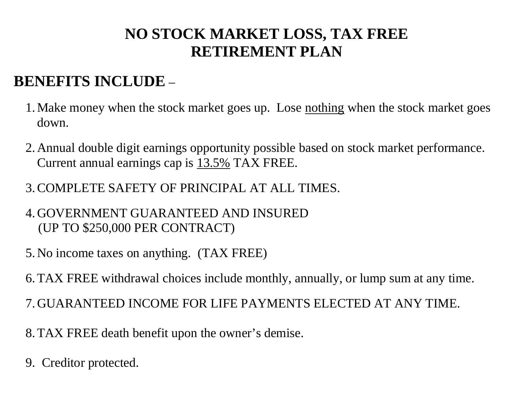## **NO STOCK MARKET LOSS, TAX FREE RETIREMENT PLAN**

## **BENEFITS INCLUDE** –

- 1. Make money when the stock market goes up. Lose nothing when the stock market goes down.
- 2. Annual double digit earnings opportunity possible based on stock market performance. Current annual earnings cap is 13.5% TAX FREE.
- 3.COMPLETE SAFETY OF PRINCIPAL AT ALL TIMES.
- 4. GOVERNMENT GUARANTEED AND INSURED (UP TO \$250,000 PER CONTRACT)
- 5. No income taxes on anything. (TAX FREE)
- 6.TAX FREE withdrawal choices include monthly, annually, or lump sum at any time.
- 7. GUARANTEED INCOME FOR LIFE PAYMENTS ELECTED AT ANY TIME.
- 8.TAX FREE death benefit upon the owner's demise.
- 9. Creditor protected.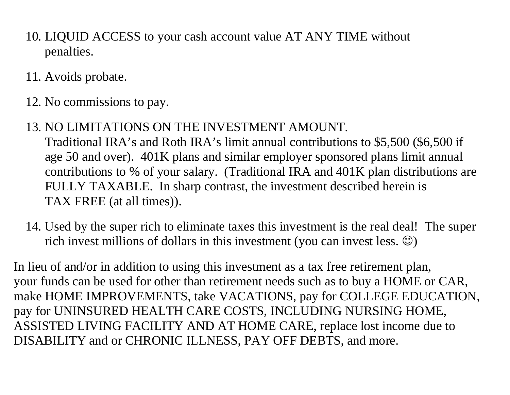- 10. LIQUID ACCESS to your cash account value AT ANY TIME without penalties.
- 11. Avoids probate.
- 12. No commissions to pay.
- 13. NO LIMITATIONS ON THE INVESTMENT AMOUNT.

 Traditional IRA's and Roth IRA's limit annual contributions to \$5,500 (\$6,500 if age 50 and over). 401K plans and similar employer sponsored plans limit annual contributions to % of your salary. (Traditional IRA and 401K plan distributions are FULLY TAXABLE. In sharp contrast, the investment described herein is TAX FREE (at all times)).

14. Used by the super rich to eliminate taxes this investment is the real deal! The super rich invest millions of dollars in this investment (you can invest less.  $\circledcirc$ )

In lieu of and/or in addition to using this investment as a tax free retirement plan, your funds can be used for other than retirement needs such as to buy a HOME or CAR, make HOME IMPROVEMENTS, take VACATIONS, pay for COLLEGE EDUCATION, pay for UNINSURED HEALTH CARE COSTS, INCLUDING NURSING HOME, ASSISTED LIVING FACILITY AND AT HOME CARE, replace lost income due to DISABILITY and or CHRONIC ILLNESS, PAY OFF DEBTS, and more.